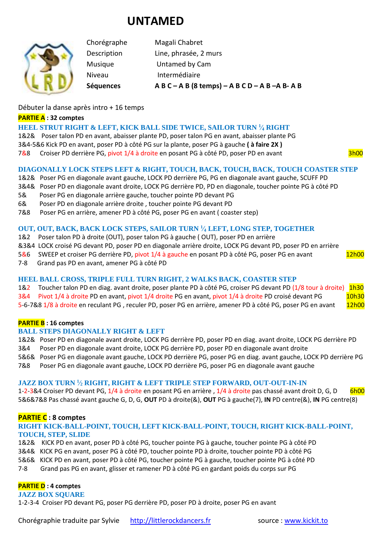# **UNTAMED**

Chorégraphe Magali Chabret Description Line, phrasée, 2 murs Musique Untamed by Cam Niveau Intermédiaire **Séquences A B C – A B (8 temps) – A B C D – A B –A B- A B**

## Débuter la danse après intro + 16 temps

#### **PARTIE A : 32 comptes**

## **HEEL STRUT RIGHT & LEFT, KICK BALL SIDE TWICE, SAILOR TURN <sup>1</sup> ⁄<sup>4</sup> RIGHT**

1&2& Poser talon PD en avant, abaisser plante PD, poser talon PG en avant, abaisser plante PG 3&4-5&6 Kick PD en avant, poser PD à côté PG sur la plante, poser PG à gauche **( à faire 2X )** 7&8 Croiser PD derrière PG, pivot 1/4 à droite en posant PG à côté PD, poser PD en avant 3h00

## **DIAGONALLY LOCK STEPS LEFT & RIGHT, TOUCH, BACK, TOUCH, BACK, TOUCH COASTER STEP**

- 1&2& Poser PG en diagonale avant gauche, LOCK PD derrière PG, PG en diagonale avant gauche, SCUFF PD
- 3&4& Poser PD en diagonale avant droite, LOCK PG derrière PD, PD en diagonale, toucher pointe PG à côté PD
- 5& Poser PG en diagonale arrière gauche, toucher pointe PD devant PG
- 6& Poser PD en diagonale arrière droite , toucher pointe PG devant PD
- 7&8 Poser PG en arrière, amener PD à côté PG, poser PG en avant ( coaster step)

### **OUT, OUT, BACK, BACK LOCK STEPS, SAILOR TURN <sup>1</sup> ⁄<sup>4</sup> LEFT, LONG STEP, TOGETHER**

- 1&2 Poser talon PD à droite (OUT), poser talon PG à gauche ( OUT), poser PD en arrière
- &3&4 LOCK croisé PG devant PD, poser PD en diagonale arrière droite, LOCK PG devant PD, poser PD en arrière
- 5&6 SWEEP et croiser PG derrière PD, pivot 1/4 à gauche en posant PD à côté PG, poser PG en avant 12h00
- 7-8 Grand pas PD en avant, amener PG à côté PD

## **HEEL BALL CROSS, TRIPLE FULL TURN RIGHT, 2 WALKS BACK, COASTER STEP**

1&2 Toucher talon PD en diag. avant droite, poser plante PD à côté PG, croiser PG devant PD (1/8 tour à droite) 1h30 3&4 Pivot 1/4 à droite PD en avant, pivot 1/4 droite PG en avant, pivot 1/4 à droite PD croisé devant PG 10h30 5-6-7&8 1/8 à droite en reculant PG, reculer PD, poser PG en arrière, amener PD à côté PG, poser PG en avant 12h00

## **PARTIE B : 16 comptes**

#### **BALL STEPS DIAGONALLY RIGHT & LEFT**

1&2& Poser PD en diagonale avant droite, LOCK PG derrière PD, poser PD en diag. avant droite, LOCK PG derrière PD 3&4 Poser PD en diagonale avant droite, LOCK PG derrière PD, poser PD en diagonale avant droite

5&6& Poser PG en diagonale avant gauche, LOCK PD derrière PG, poser PG en diag. avant gauche, LOCK PD derrière PG 7&8 Poser PG en diagonale avant gauche, LOCK PD derrière PG, poser PG en diagonale avant gauche

# **JAZZ BOX TURN <sup>1</sup> ⁄<sup>2</sup> RIGHT, RIGHT & LEFT TRIPLE STEP FORWARD, OUT-OUT-IN-IN**

1-2-3&4 Croiser PD devant PG, 1/4 à droite en posant PG en arrière, 1/4 à droite pas chassé avant droit D, G, D 6h00 5&6&7&8 Pas chassé avant gauche G, D, G, **OUT** PD à droite(&), **OUT** PG à gauche(7), **IN** PD centre(&), **IN** PG centre(8)

## **PARTIE C : 8 comptes**

### **RIGHT KICK-BALL-POINT, TOUCH, LEFT KICK-BALL-POINT, TOUCH, RIGHT KICK-BALL-POINT, TOUCH, STEP, SLIDE**

1&2& KICK PD en avant, poser PD à côté PG, toucher pointe PG à gauche, toucher pointe PG à côté PD 3&4& KICK PG en avant, poser PG à côté PD, toucher pointe PD à droite, toucher pointe PD à côté PG 5&6& KICK PD en avant, poser PD à côté PG, toucher pointe PG à gauche, toucher pointe PG à côté PD 7-8 Grand pas PG en avant, glisser et ramener PD à côté PG en gardant poids du corps sur PG

## **PARTIE D : 4 comptes**

**JAZZ BOX SQUARE**

1-2-3-4 Croiser PD devant PG, poser PG derrière PD, poser PD à droite, poser PG en avant

Chorégraphie traduite par Sylvie [http://littlerockdancers.fr](http://littlerockdancers.fr/) source : [www.kickit.to](http://www.kickit.to/)